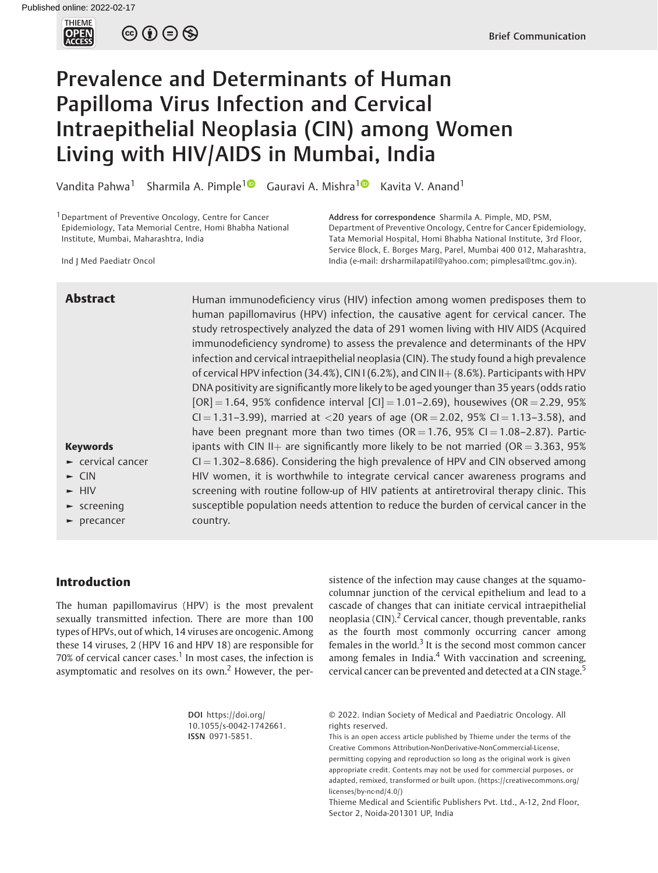

 $\circledcirc \circledcirc \circledcirc$ 

# Prevalence and Determinants of Human Papilloma Virus Infection and Cervical Intraepithelial Neoplasia (CIN) among Women Living with HIV/AIDS in Mumbai, India

Vandita Pahwa<sup>[1](https://orcid.org/0000-0002-0154-7302)</sup> Sharmila A. Pimple<sup>10</sup> Gauravi A. Mishra<sup>10</sup> Kavita V. Anand<sup>1</sup>

<sup>1</sup> Department of Preventive Oncology, Centre for Cancer Epidemiology, Tata Memorial Centre, Homi Bhabha National Institute, Mumbai, Maharashtra, India

Address for correspondence Sharmila A. Pimple, MD, PSM, Department of Preventive Oncology, Centre for Cancer Epidemiology, Tata Memorial Hospital, Homi Bhabha National Institute, 3rd Floor, Service Block, E. Borges Marg, Parel, Mumbai 400 012, Maharashtra, India (e-mail: [drsharmilapatil@yahoo.com](mailto:drsharmilapatil@yahoo.com); [pimplesa@tmc.gov.in](mailto:pimplesa@tmc.gov.in)).

Ind J Med Paediatr Oncol

**Abstract** Human immunodeficiency virus (HIV) infection among women predisposes them to human papillomavirus (HPV) infection, the causative agent for cervical cancer. The study retrospectively analyzed the data of 291 women living with HIV AIDS (Acquired immunodeficiency syndrome) to assess the prevalence and determinants of the HPV infection and cervical intraepithelial neoplasia (CIN). The study found a high prevalence of cervical HPV infection (34.4%), CIN I (6.2%), and CIN II $+(8.6%)$ . Participants with HPV DNA positivity are significantly more likely to be aged younger than 35 years (odds ratio  $[OR] = 1.64$ , 95% confidence interval  $[CI] = 1.01 - 2.69$ ), housewives (OR = 2.29, 95% CI = 1.31-3.99), married at <20 years of age (OR = 2.02, 95% CI = 1.13-3.58), and have been pregnant more than two times (OR = 1.76, 95% CI = 1.08–2.87). Participants with CIN II<sub>+</sub> are significantly more likely to be not married (OR = 3.363, 95%)  $CI = 1.302-8.686$ ). Considering the high prevalence of HPV and CIN observed among HIV women, it is worthwhile to integrate cervical cancer awareness programs and screening with routine follow-up of HIV patients at antiretroviral therapy clinic. This susceptible population needs attention to reduce the burden of cervical cancer in the country.

Keywords

 $\blacktriangleright$  CIN ► HIV ► screening precancer

► cervical cancer

# Introduction

The human papillomavirus (HPV) is the most prevalent sexually transmitted infection. There are more than 100 types of HPVs, out of which, 14 viruses are oncogenic. Among these 14 viruses, 2 (HPV 16 and HPV 18) are responsible for  $70\%$  of cervical cancer cases.<sup>1</sup> In most cases, the infection is asymptomatic and resolves on its own.<sup>2</sup> However, the persistence of the infection may cause changes at the squamocolumnar junction of the cervical epithelium and lead to a cascade of changes that can initiate cervical intraepithelial neoplasia (CIN). $<sup>2</sup>$  Cervical cancer, though preventable, ranks</sup> as the fourth most commonly occurring cancer among females in the world. $3$  It is the second most common cancer among females in India.<sup>4</sup> With vaccination and screening, cervical cancer can be prevented and detected at a CIN stage.<sup>5</sup>

| DOI https://doi.org/    |
|-------------------------|
| 10.1055/s-0042-1742661. |
| ISSN 0971-5851.         |

© 2022. Indian Society of Medical and Paediatric Oncology. All rights reserved.

This is an open access article published by Thieme under the terms of the Creative Commons Attribution-NonDerivative-NonCommercial-License, permitting copying and reproduction so long as the original work is given appropriate credit. Contents may not be used for commercial purposes, or adapted, remixed, transformed or built upon. (https://creativecommons.org/ licenses/by-nc-nd/4.0/)

Thieme Medical and Scientific Publishers Pvt. Ltd., A-12, 2nd Floor, Sector 2, Noida-201301 UP, India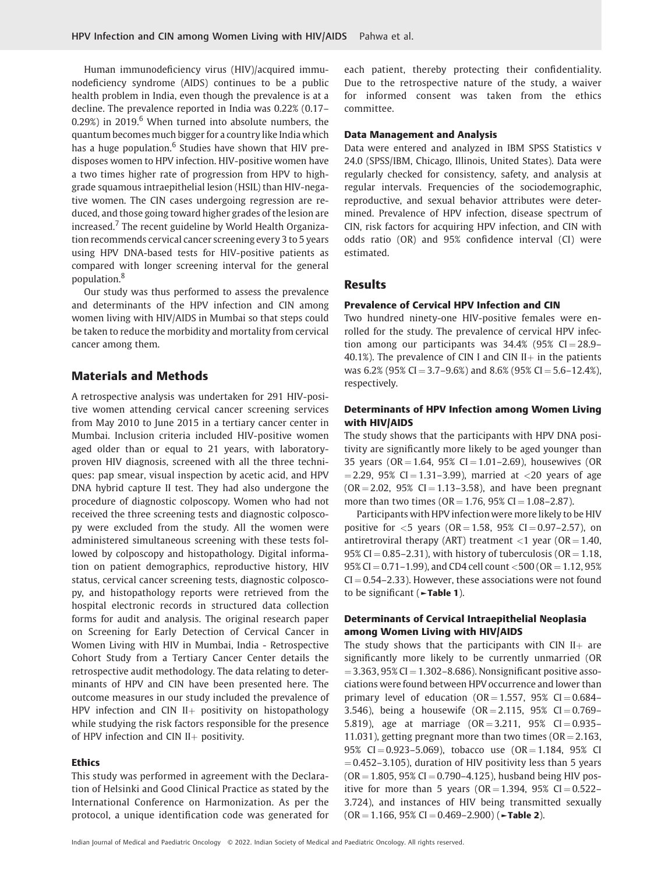Human immunodeficiency virus (HIV)/acquired immunodeficiency syndrome (AIDS) continues to be a public health problem in India, even though the prevalence is at a decline. The prevalence reported in India was 0.22% (0.17– 0.29%) in 2019. $6$  When turned into absolute numbers, the quantum becomes much bigger for a country like India which has a huge population. $6$  Studies have shown that HIV predisposes women to HPV infection. HIV-positive women have a two times higher rate of progression from HPV to highgrade squamous intraepithelial lesion (HSIL) than HIV-negative women. The CIN cases undergoing regression are reduced, and those going toward higher grades of the lesion are increased.<sup>7</sup> The recent guideline by World Health Organization recommends cervical cancer screening every 3 to 5 years using HPV DNA-based tests for HIV-positive patients as compared with longer screening interval for the general population.<sup>8</sup>

Our study was thus performed to assess the prevalence and determinants of the HPV infection and CIN among women living with HIV/AIDS in Mumbai so that steps could be taken to reduce the morbidity and mortality from cervical cancer among them.

# Materials and Methods

A retrospective analysis was undertaken for 291 HIV-positive women attending cervical cancer screening services from May 2010 to June 2015 in a tertiary cancer center in Mumbai. Inclusion criteria included HIV-positive women aged older than or equal to 21 years, with laboratoryproven HIV diagnosis, screened with all the three techniques: pap smear, visual inspection by acetic acid, and HPV DNA hybrid capture II test. They had also undergone the procedure of diagnostic colposcopy. Women who had not received the three screening tests and diagnostic colposcopy were excluded from the study. All the women were administered simultaneous screening with these tests followed by colposcopy and histopathology. Digital information on patient demographics, reproductive history, HIV status, cervical cancer screening tests, diagnostic colposcopy, and histopathology reports were retrieved from the hospital electronic records in structured data collection forms for audit and analysis. The original research paper on Screening for Early Detection of Cervical Cancer in Women Living with HIV in Mumbai, India - Retrospective Cohort Study from a Tertiary Cancer Center details the retrospective audit methodology. The data relating to determinants of HPV and CIN have been presented here. The outcome measures in our study included the prevalence of HPV infection and CIN  $II$ + positivity on histopathology while studying the risk factors responsible for the presence of HPV infection and CIN II $+$  positivity.

#### **Ethics**

This study was performed in agreement with the Declaration of Helsinki and Good Clinical Practice as stated by the International Conference on Harmonization. As per the protocol, a unique identification code was generated for each patient, thereby protecting their confidentiality. Due to the retrospective nature of the study, a waiver for informed consent was taken from the ethics committee.

#### Data Management and Analysis

Data were entered and analyzed in IBM SPSS Statistics v 24.0 (SPSS/IBM, Chicago, Illinois, United States). Data were regularly checked for consistency, safety, and analysis at regular intervals. Frequencies of the sociodemographic, reproductive, and sexual behavior attributes were determined. Prevalence of HPV infection, disease spectrum of CIN, risk factors for acquiring HPV infection, and CIN with odds ratio (OR) and 95% confidence interval (CI) were estimated.

# Results

#### Prevalence of Cervical HPV Infection and CIN

Two hundred ninety-one HIV-positive females were enrolled for the study. The prevalence of cervical HPV infection among our participants was  $34.4\%$  (95% CI = 28.9– 40.1%). The prevalence of CIN I and CIN II $+$  in the patients was  $6.2\%$  (95% CI = 3.7–9.6%) and 8.6% (95% CI = 5.6–12.4%), respectively.

# Determinants of HPV Infection among Women Living with HIV/AIDS

The study shows that the participants with HPV DNA positivity are significantly more likely to be aged younger than 35 years ( $OR = 1.64$ ,  $95\%$  CI = 1.01–2.69), housewives (OR  $= 2.29$ , 95% CI  $= 1.31 - 3.99$ ), married at  $< 20$  years of age  $(OR = 2.02, 95\% CI = 1.13-3.58)$ , and have been pregnant more than two times ( $OR = 1.76$ ,  $95\%$  CI = 1.08–2.87).

Participants with HPV infection were more likely to be HIV positive for  $<$  5 years (OR = 1.58, 95% CI = 0.97–2.57), on antiretroviral therapy (ART) treatment  $<$ 1 year (OR = 1.40, 95% CI =  $0.85-2.31$ ), with history of tuberculosis (OR = 1.18, 95% CI = 0.71-1.99), and CD4 cell count <500 (OR = 1.12, 95%  $CI = 0.54 - 2.33$ ). However, these associations were not found to be significant (►Table 1).

# Determinants of Cervical Intraepithelial Neoplasia among Women Living with HIV/AIDS

The study shows that the participants with CIN II $+$  are significantly more likely to be currently unmarried (OR  $= 3.363, 95\%$  CI  $= 1.302 - 8.686$ ). Nonsignificant positive associations were found between HPV occurrence and lower than primary level of education ( $OR = 1.557$ ,  $95\%$  CI  $= 0.684 -$ 3.546), being a housewife  $(OR = 2.115, 95\% \text{ CI} = 0.769 - 1.769)$ 5.819), age at marriage  $(OR = 3.211, 95\% \text{ CI} = 0.935 -$ 11.031), getting pregnant more than two times ( $OR = 2.163$ , 95% CI = 0.923-5.069), tobacco use  $(OR = 1.184, 95\%$  CI  $= 0.452 - 3.105$ ), duration of HIV positivity less than 5 years  $(OR = 1.805, 95\% CI = 0.790 - 4.125)$ , husband being HIV positive for more than 5 years  $(OR = 1.394, 95\% \text{ CI} = 0.522 -$ 3.724), and instances of HIV being transmitted sexually  $(OR = 1.166, 95\% CI = 0.469 - 2.900)$  ( $\blacktriangleright$ Table 2).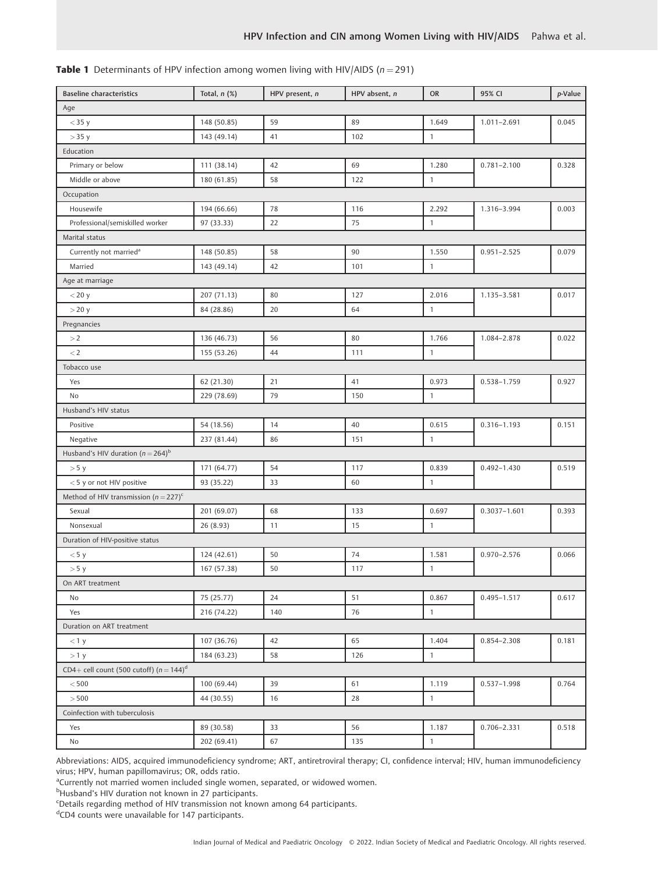| <b>Table 1</b> Determinants of HPV infection among women living with HIV/AIDS ( $n = 291$ ) |  |
|---------------------------------------------------------------------------------------------|--|
|---------------------------------------------------------------------------------------------|--|

| <b>Baseline characteristics</b>            | Total, $n$ $(\%)$ | HPV present, n | HPV absent, n | <b>OR</b>    | 95% CI           | p-Value |  |  |
|--------------------------------------------|-------------------|----------------|---------------|--------------|------------------|---------|--|--|
| Age                                        |                   |                |               |              |                  |         |  |  |
| $<$ 35 y                                   | 148 (50.85)       | 59             | 89            | 1.649        | $1.011 - 2.691$  | 0.045   |  |  |
| $>$ 35 y                                   | 143 (49.14)       | 41             | 102           | $\mathbf{1}$ |                  |         |  |  |
| Education                                  |                   |                |               |              |                  |         |  |  |
| Primary or below                           | 111 (38.14)       | 42             | 69            | 1.280        | $0.781 - 2.100$  | 0.328   |  |  |
| Middle or above                            | 180 (61.85)       | 58             | 122           | $\mathbf{1}$ |                  |         |  |  |
| Occupation                                 |                   |                |               |              |                  |         |  |  |
| Housewife                                  | 194 (66.66)       | 78             | 116           | 2.292        | 1.316-3.994      | 0.003   |  |  |
| Professional/semiskilled worker            | 97 (33.33)        | 22             | 75            | $\mathbf{1}$ |                  |         |  |  |
| Marital status                             |                   |                |               |              |                  |         |  |  |
| Currently not married <sup>a</sup>         | 148 (50.85)       | 58             | 90            | 1.550        | $0.951 - 2.525$  | 0.079   |  |  |
| Married                                    | 143 (49.14)       | 42             | 101           | $\mathbf{1}$ |                  |         |  |  |
| Age at marriage                            |                   |                |               |              |                  |         |  |  |
| $<$ 20 y                                   | 207 (71.13)       | 80             | 127           | 2.016        | 1.135-3.581      | 0.017   |  |  |
| $>$ 20 y                                   | 84 (28.86)        | 20             | 64            | $\mathbf{1}$ |                  |         |  |  |
| Pregnancies                                |                   |                |               |              |                  |         |  |  |
| >2                                         | 136 (46.73)       | 56             | 80            | 1.766        | 1.084-2.878      | 0.022   |  |  |
| $\lt 2$                                    | 155 (53.26)       | 44             | 111           | $\mathbf{1}$ |                  |         |  |  |
| Tobacco use                                |                   |                |               |              |                  |         |  |  |
| Yes                                        | 62 (21.30)        | 21             | 41            | 0.973        | 0.538-1.759      | 0.927   |  |  |
| No                                         | 229 (78.69)       | 79             | 150           | $\mathbf{1}$ |                  |         |  |  |
| Husband's HIV status                       |                   |                |               |              |                  |         |  |  |
| Positive                                   | 54 (18.56)        | 14             | 40            | 0.615        | $0.316 - 1.193$  | 0.151   |  |  |
| Negative                                   | 237 (81.44)       | 86             | 151           | $\mathbf{1}$ |                  |         |  |  |
| Husband's HIV duration $(n = 264)^{b}$     |                   |                |               |              |                  |         |  |  |
| > 5 y                                      | 171 (64.77)       | 54             | 117           | 0.839        | $0.492 - 1.430$  | 0.519   |  |  |
| <5 y or not HIV positive                   | 93 (35.22)        | 33             | 60            | $\mathbf{1}$ |                  |         |  |  |
| Method of HIV transmission $(n=227)^c$     |                   |                |               |              |                  |         |  |  |
| Sexual                                     | 201 (69.07)       | 68             | 133           | 0.697        | $0.3037 - 1.601$ | 0.393   |  |  |
| Nonsexual                                  | 26 (8.93)         | 11             | 15            | $\mathbf{1}$ |                  |         |  |  |
| Duration of HIV-positive status            |                   |                |               |              |                  |         |  |  |
| $<$ 5 y                                    | 124 (42.61)       | 50             | 74            | 1.581        | $0.970 - 2.576$  | 0.066   |  |  |
| > 5 y                                      | 167 (57.38)       | 50             | 117           | $\mathbf{1}$ |                  |         |  |  |
| On ART treatment                           |                   |                |               |              |                  |         |  |  |
| No                                         | 75 (25.77)        | 24             | 51            | 0.867        | $0.495 - 1.517$  | 0.617   |  |  |
| Yes                                        | 216 (74.22)       | 140            | 76            | $\mathbf{1}$ |                  |         |  |  |
| Duration on ART treatment                  |                   |                |               |              |                  |         |  |  |
| $<$ 1 y                                    | 107 (36.76)       | 42             | 65            | 1.404        | 0.854-2.308      | 0.181   |  |  |
| >1 y                                       | 184 (63.23)       | 58             | 126           | $\mathbf{1}$ |                  |         |  |  |
| CD4+ cell count (500 cutoff) $(n = 144)^d$ |                   |                |               |              |                  |         |  |  |
| < 500                                      | 100 (69.44)       | 39             | 61            | 1.119        | $0.537 - 1.998$  | 0.764   |  |  |
| > 500                                      | 44 (30.55)        | 16             | 28            | $\mathbf{1}$ |                  |         |  |  |
| Coinfection with tuberculosis              |                   |                |               |              |                  |         |  |  |
| Yes                                        | 89 (30.58)        | 33             | 56            | 1.187        | $0.706 - 2.331$  | 0.518   |  |  |
| No                                         | 202 (69.41)       | 67             | 135           | $\mathbf{1}$ |                  |         |  |  |

Abbreviations: AIDS, acquired immunodeficiency syndrome; ART, antiretroviral therapy; CI, confidence interval; HIV, human immunodeficiency virus; HPV, human papillomavirus; OR, odds ratio.

<sup>a</sup>Currently not married women included single women, separated, or widowed women.

<sup>b</sup>Husband's HIV duration not known in 27 participants.

<sup>c</sup>Details regarding method of HIV transmission not known among 64 participants.

d CD4 counts were unavailable for 147 participants.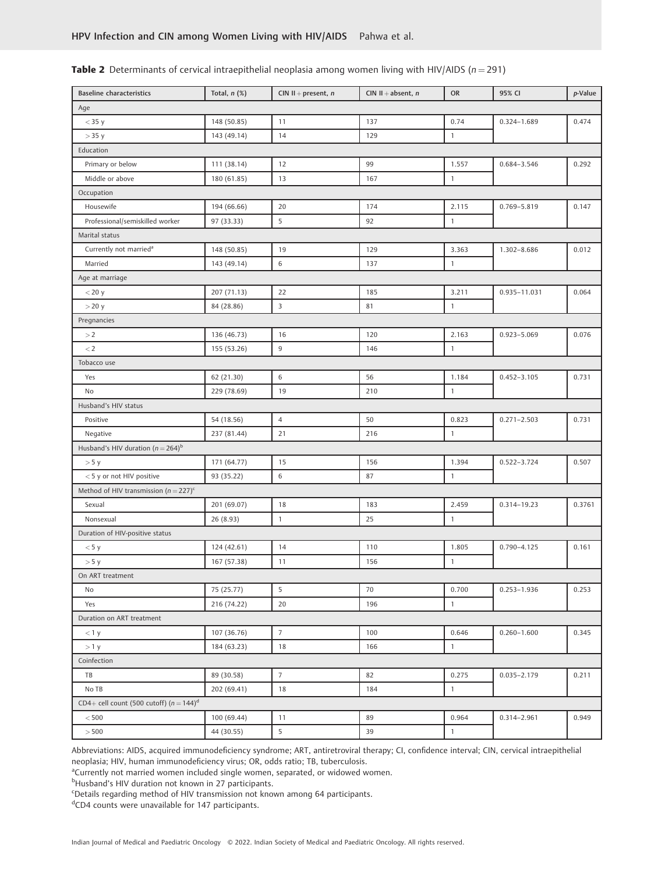| <b>Baseline characteristics</b>                       | Total, $n$ $(\%)$ | CIN $II$ + present, n | CIN $II$ + absent, n | OR           | 95% CI          | p-Value |
|-------------------------------------------------------|-------------------|-----------------------|----------------------|--------------|-----------------|---------|
| Age                                                   |                   |                       |                      |              |                 |         |
| $<$ 35 y                                              | 148 (50.85)       | 11                    | 137                  | 0.74         | 0.324-1.689     | 0.474   |
| $>$ 35 y                                              | 143 (49.14)       | 14                    | 129                  | 1            |                 |         |
| Education                                             |                   |                       |                      |              |                 |         |
| Primary or below                                      | 111 (38.14)       | 12                    | 99                   | 1.557        | 0.684-3.546     | 0.292   |
| Middle or above                                       | 180 (61.85)       | 13                    | 167                  | $\mathbf{1}$ |                 |         |
| Occupation                                            |                   |                       |                      |              |                 |         |
| Housewife                                             | 194 (66.66)       | 20                    | 174                  | 2.115        | 0.769-5.819     | 0.147   |
| Professional/semiskilled worker                       | 97 (33.33)        | 5                     | 92                   | 1            |                 |         |
| Marital status                                        |                   |                       |                      |              |                 |         |
| Currently not married <sup>a</sup>                    | 148 (50.85)       | 19                    | 129                  | 3.363        | 1.302-8.686     | 0.012   |
| Married                                               | 143 (49.14)       | 6                     | 137                  | $\mathbf{1}$ |                 |         |
| Age at marriage                                       |                   |                       |                      |              |                 |         |
| $<$ 20 y                                              | 207 (71.13)       | 22                    | 185                  | 3.211        | 0.935-11.031    | 0.064   |
| $>$ 20 y                                              | 84 (28.86)        | 3                     | 81                   | $\mathbf{1}$ |                 |         |
| Pregnancies                                           |                   |                       |                      |              |                 |         |
| $>\!2$                                                | 136 (46.73)       | 16                    | 120                  | 2.163        | 0.923-5.069     | 0.076   |
| $\lt 2$                                               | 155 (53.26)       | $\overline{9}$        | 146                  | $\mathbf{1}$ |                 |         |
| Tobacco use                                           |                   |                       |                      |              |                 |         |
| Yes                                                   | 62 (21.30)        | $\,6\,$               | 56                   | 1.184        | $0.452 - 3.105$ | 0.731   |
| No                                                    | 229 (78.69)       | 19                    | 210                  | 1            |                 |         |
| Husband's HIV status                                  |                   |                       |                      |              |                 |         |
| Positive                                              | 54 (18.56)        | $\overline{4}$        | 50                   | 0.823        | $0.271 - 2.503$ | 0.731   |
| Negative                                              | 237 (81.44)       | 21                    | 216                  | $\mathbf{1}$ |                 |         |
| Husband's HIV duration $(n = 264)^b$                  |                   |                       |                      |              |                 |         |
| > 5 y                                                 | 171 (64.77)       | 15                    | 156                  | 1.394        | 0.522-3.724     | 0.507   |
| <5 y or not HIV positive                              | 93 (35.22)        | 6                     | 87                   | 1            |                 |         |
| Method of HIV transmission ( $n = 227$ ) <sup>c</sup> |                   |                       |                      |              |                 |         |
| Sexual                                                | 201 (69.07)       | 18                    | 183                  | 2.459        | 0.314-19.23     | 0.3761  |
| Nonsexual                                             | 26 (8.93)         | $\mathbf{1}$          | 25                   | 1            |                 |         |
| Duration of HIV-positive status                       |                   |                       |                      |              |                 |         |
| < 5 y                                                 | 124 (42.61)       | 14                    | 110                  | 1.805        | $0.790 - 4.125$ | 0.161   |
| > 5 y                                                 | 167 (57.38)       | 11                    | 156                  | 1            |                 |         |
| On ART treatment                                      |                   |                       |                      |              |                 |         |
| No                                                    | 75 (25.77)        | 5                     | 70                   | 0.700        | $0.253 - 1.936$ | 0.253   |
| Yes                                                   | 216 (74.22)       | 20                    | 196                  | $\mathbf{1}$ |                 |         |
| Duration on ART treatment                             |                   |                       |                      |              |                 |         |
| $<$ 1 y                                               | 107 (36.76)       | $\overline{7}$        | 100                  | 0.646        | $0.260 - 1.600$ | 0.345   |
| >1 y                                                  | 184 (63.23)       | 18                    | 166                  | 1            |                 |         |
| Coinfection                                           |                   |                       |                      |              |                 |         |
| TB                                                    | 89 (30.58)        | $\overline{7}$        | 82                   | 0.275        | $0.035 - 2.179$ | 0.211   |
| No TB                                                 | 202 (69.41)       | 18                    | 184                  | $\mathbf{1}$ |                 |         |
| CD4+ cell count (500 cutoff) $(n = 144)^d$            |                   |                       |                      |              |                 |         |
| < 500                                                 | 100 (69.44)       | 11                    | 89                   | 0.964        | 0.314-2.961     | 0.949   |
| >500                                                  | 44 (30.55)        | 5                     | 39                   | $\mathbf{1}$ |                 |         |
|                                                       |                   |                       |                      |              |                 |         |

# **Table 2** Determinants of cervical intraepithelial neoplasia among women living with HIV/AIDS ( $n = 291$ )

Abbreviations: AIDS, acquired immunodeficiency syndrome; ART, antiretroviral therapy; CI, confidence interval; CIN, cervical intraepithelial neoplasia; HIV, human immunodeficiency virus; OR, odds ratio; TB, tuberculosis.

<sup>a</sup>Currently not married women included single women, separated, or widowed women.

<sup>b</sup>Husband's HIV duration not known in 27 participants.

c Details regarding method of HIV transmission not known among 64 participants.

<sup>d</sup>CD4 counts were unavailable for 147 participants.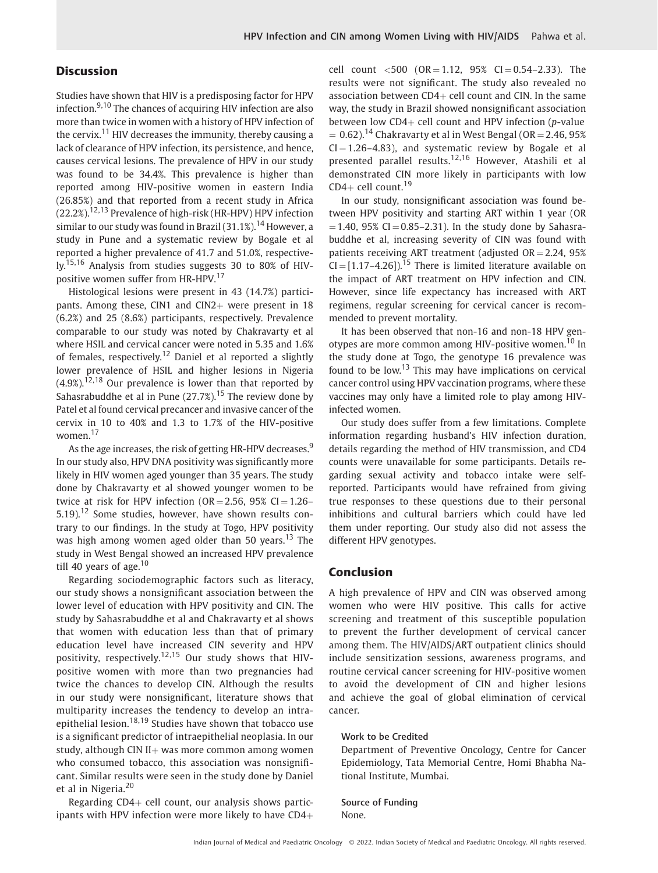# **Discussion**

Studies have shown that HIV is a predisposing factor for HPV infection.<sup>9,10</sup> The chances of acquiring HIV infection are also more than twice in women with a history of HPV infection of the cervix.<sup>11</sup> HIV decreases the immunity, thereby causing a lack of clearance of HPV infection, its persistence, and hence, causes cervical lesions. The prevalence of HPV in our study was found to be 34.4%. This prevalence is higher than reported among HIV-positive women in eastern India (26.85%) and that reported from a recent study in Africa  $(22.2\%)$ <sup>12,13</sup> Prevalence of high-risk (HR-HPV) HPV infection similar to our study was found in Brazil  $(31.1\%)$ .<sup>14</sup> However, a study in Pune and a systematic review by Bogale et al reported a higher prevalence of 41.7 and 51.0%, respectively.15,16 Analysis from studies suggests 30 to 80% of HIVpositive women suffer from HR-HPV.<sup>17</sup>

Histological lesions were present in 43 (14.7%) participants. Among these, CIN1 and CIN2 $+$  were present in 18 (6.2%) and 25 (8.6%) participants, respectively. Prevalence comparable to our study was noted by Chakravarty et al where HSIL and cervical cancer were noted in 5.35 and 1.6% of females, respectively.<sup>12</sup> Daniel et al reported a slightly lower prevalence of HSIL and higher lesions in Nigeria  $(4.9\%)$ <sup>12,18</sup> Our prevalence is lower than that reported by Sahasrabuddhe et al in Pune  $(27.7\%)$ .<sup>15</sup> The review done by Patel et al found cervical precancer and invasive cancer of the cervix in 10 to 40% and 1.3 to 1.7% of the HIV-positive women.<sup>17</sup>

As the age increases, the risk of getting HR-HPV decreases.<sup>9</sup> In our study also, HPV DNA positivity was significantly more likely in HIV women aged younger than 35 years. The study done by Chakravarty et al showed younger women to be twice at risk for HPV infection ( $OR = 2.56$ ,  $95\%$  CI = 1.26– 5.19).<sup>12</sup> Some studies, however, have shown results contrary to our findings. In the study at Togo, HPV positivity was high among women aged older than 50 years.<sup>13</sup> The study in West Bengal showed an increased HPV prevalence till 40 years of age. $10$ 

Regarding sociodemographic factors such as literacy, our study shows a nonsignificant association between the lower level of education with HPV positivity and CIN. The study by Sahasrabuddhe et al and Chakravarty et al shows that women with education less than that of primary education level have increased CIN severity and HPV positivity, respectively.<sup>12,15</sup> Our study shows that HIVpositive women with more than two pregnancies had twice the chances to develop CIN. Although the results in our study were nonsignificant, literature shows that multiparity increases the tendency to develop an intraepithelial lesion.<sup>18,19</sup> Studies have shown that tobacco use is a significant predictor of intraepithelial neoplasia. In our study, although CIN II $+$  was more common among women who consumed tobacco, this association was nonsignificant. Similar results were seen in the study done by Daniel et al in Nigeria.<sup>20</sup>

Regarding  $CD4+$  cell count, our analysis shows participants with HPV infection were more likely to have  $CD4+$  cell count  $\langle 500 (OR = 1.12, 95\% CI = 0.54 - 2.33)$ . The results were not significant. The study also revealed no association between  $CD4+$  cell count and CIN. In the same way, the study in Brazil showed nonsignificant association between low  $CD4+$  cell count and HPV infection (p-value  $= 0.62$ ).<sup>14</sup> Chakravarty et al in West Bengal (OR  $= 2.46, 95\%$  $CI = 1.26 - 4.83$ ), and systematic review by Bogale et all presented parallel results.12,16 However, Atashili et al demonstrated CIN more likely in participants with low CD4+ cell count. $19$ 

In our study, nonsignificant association was found between HPV positivity and starting ART within 1 year (OR  $= 1.40$ , 95% CI  $= 0.85 - 2.31$ ). In the study done by Sahasrabuddhe et al, increasing severity of CIN was found with patients receiving ART treatment (adjusted  $OR = 2.24$ , 95%  $CI = [1.17-4.26]$ .<sup>15</sup> There is limited literature available on the impact of ART treatment on HPV infection and CIN. However, since life expectancy has increased with ART regimens, regular screening for cervical cancer is recommended to prevent mortality.

It has been observed that non-16 and non-18 HPV genotypes are more common among HIV-positive women.<sup>10</sup> In the study done at Togo, the genotype 16 prevalence was found to be low.<sup>13</sup> This may have implications on cervical cancer control using HPV vaccination programs, where these vaccines may only have a limited role to play among HIVinfected women.

Our study does suffer from a few limitations. Complete information regarding husband's HIV infection duration, details regarding the method of HIV transmission, and CD4 counts were unavailable for some participants. Details regarding sexual activity and tobacco intake were selfreported. Participants would have refrained from giving true responses to these questions due to their personal inhibitions and cultural barriers which could have led them under reporting. Our study also did not assess the different HPV genotypes.

### Conclusion

A high prevalence of HPV and CIN was observed among women who were HIV positive. This calls for active screening and treatment of this susceptible population to prevent the further development of cervical cancer among them. The HIV/AIDS/ART outpatient clinics should include sensitization sessions, awareness programs, and routine cervical cancer screening for HIV-positive women to avoid the development of CIN and higher lesions and achieve the goal of global elimination of cervical cancer.

#### Work to be Credited

Department of Preventive Oncology, Centre for Cancer Epidemiology, Tata Memorial Centre, Homi Bhabha National Institute, Mumbai.

Source of Funding None.